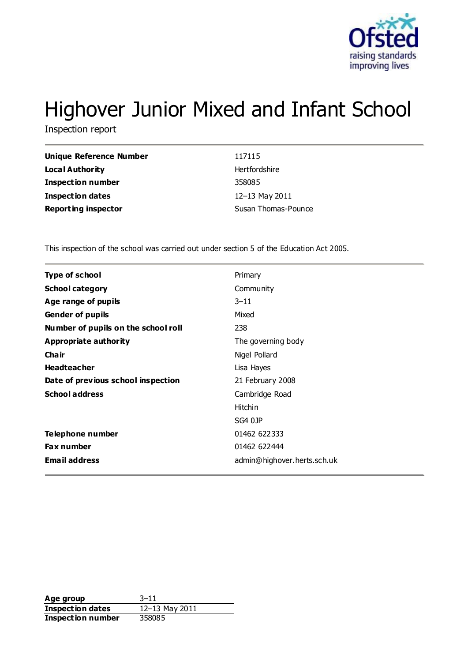

# Highover Junior Mixed and Infant School

Inspection report

| Unique Reference Number    | 117115              |
|----------------------------|---------------------|
| Local Authority            | Hertfordshire       |
| <b>Inspection number</b>   | 358085              |
| <b>Inspection dates</b>    | 12-13 May 2011      |
| <b>Reporting inspector</b> | Susan Thomas-Pounce |

This inspection of the school was carried out under section 5 of the Education Act 2005.

| <b>Type of school</b>               | Primary                     |
|-------------------------------------|-----------------------------|
| <b>School category</b>              | Community                   |
| Age range of pupils                 | $3 - 11$                    |
| <b>Gender of pupils</b>             | Mixed                       |
| Number of pupils on the school roll | 238                         |
| Appropriate authority               | The governing body          |
| Cha ir                              | Nigel Pollard               |
| <b>Headteacher</b>                  | Lisa Hayes                  |
| Date of previous school inspection  | 21 February 2008            |
| <b>School address</b>               | Cambridge Road              |
|                                     | Hitchin                     |
|                                     | SG4 0JP                     |
| Telephone number                    | 01462 622333                |
| <b>Fax number</b>                   | 01462 622444                |
| <b>Email address</b>                | admin@highover.herts.sch.uk |
|                                     |                             |

**Age group** 3–11<br> **Inspection dates** 12–13 May 2011 **Inspection dates Inspection number** 358085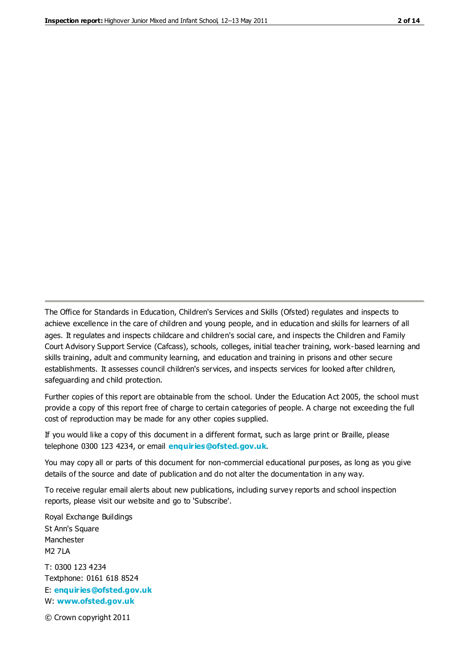The Office for Standards in Education, Children's Services and Skills (Ofsted) regulates and inspects to achieve excellence in the care of children and young people, and in education and skills for learners of all ages. It regulates and inspects childcare and children's social care, and inspects the Children and Family Court Advisory Support Service (Cafcass), schools, colleges, initial teacher training, work-based learning and skills training, adult and community learning, and education and training in prisons and other secure establishments. It assesses council children's services, and inspects services for looked after children, safeguarding and child protection.

Further copies of this report are obtainable from the school. Under the Education Act 2005, the school must provide a copy of this report free of charge to certain categories of people. A charge not exceeding the full cost of reproduction may be made for any other copies supplied.

If you would like a copy of this document in a different format, such as large print or Braille, please telephone 0300 123 4234, or email **[enquiries@ofsted.gov.uk](mailto:enquiries@ofsted.gov.uk)**.

You may copy all or parts of this document for non-commercial educational purposes, as long as you give details of the source and date of publication and do not alter the documentation in any way.

To receive regular email alerts about new publications, including survey reports and school inspection reports, please visit our website and go to 'Subscribe'.

Royal Exchange Buildings St Ann's Square Manchester M2 7LA T: 0300 123 4234 Textphone: 0161 618 8524 E: **[enquiries@ofsted.gov.uk](mailto:enquiries@ofsted.gov.uk)**

W: **[www.ofsted.gov.uk](http://www.ofsted.gov.uk/)**

© Crown copyright 2011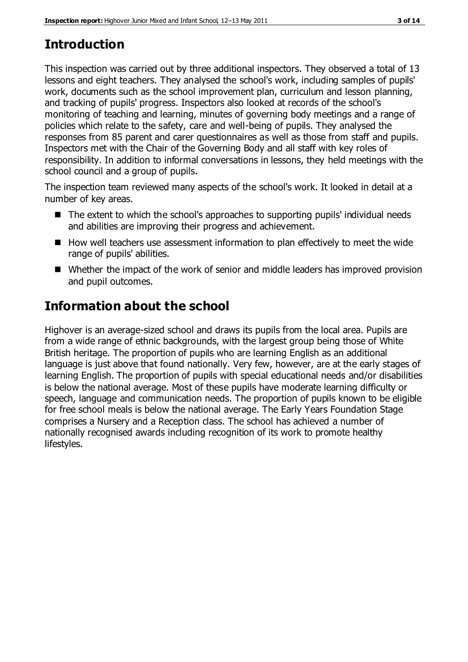# **Introduction**

This inspection was carried out by three additional inspectors. They observed a total of 13 lessons and eight teachers. They analysed the school's work, including samples of pupils' work, documents such as the school improvement plan, curriculum and lesson planning, and tracking of pupils' progress. Inspectors also looked at records of the school's monitoring of teaching and learning, minutes of governing body meetings and a range of policies which relate to the safety, care and well-being of pupils. They analysed the responses from 85 parent and carer questionnaires as well as those from staff and pupils. Inspectors met with the Chair of the Governing Body and all staff with key roles of responsibility. In addition to informal conversations in lessons, they held meetings with the school council and a group of pupils.

The inspection team reviewed many aspects of the school's work. It looked in detail at a number of key areas.

- The extent to which the school's approaches to supporting pupils' individual needs and abilities are improving their progress and achievement.
- $\blacksquare$  How well teachers use assessment information to plan effectively to meet the wide range of pupils' abilities.
- Whether the impact of the work of senior and middle leaders has improved provision and pupil outcomes.

# **Information about the school**

Highover is an average-sized school and draws its pupils from the local area. Pupils are from a wide range of ethnic backgrounds, with the largest group being those of White British heritage. The proportion of pupils who are learning English as an additional language is just above that found nationally. Very few, however, are at the early stages of learning English. The proportion of pupils with special educational needs and/or disabilities is below the national average. Most of these pupils have moderate learning difficulty or speech, language and communication needs. The proportion of pupils known to be eligible for free school meals is below the national average. The Early Years Foundation Stage comprises a Nursery and a Reception class. The school has achieved a number of nationally recognised awards including recognition of its work to promote healthy lifestyles.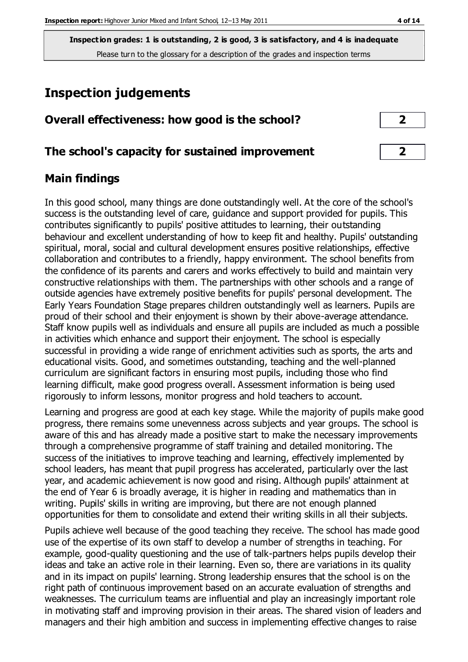**Inspection grades: 1 is outstanding, 2 is good, 3 is satisfactory, and 4 is inadequate** Please turn to the glossary for a description of the grades and inspection terms

# **Inspection judgements**

#### **Overall effectiveness: how good is the school? 2**

#### **The school's capacity for sustained improvement 2**

#### **Main findings**

In this good school, many things are done outstandingly well. At the core of the school's success is the outstanding level of care, guidance and support provided for pupils. This contributes significantly to pupils' positive attitudes to learning, their outstanding behaviour and excellent understanding of how to keep fit and healthy. Pupils' outstanding spiritual, moral, social and cultural development ensures positive relationships, effective collaboration and contributes to a friendly, happy environment. The school benefits from the confidence of its parents and carers and works effectively to build and maintain very constructive relationships with them. The partnerships with other schools and a range of outside agencies have extremely positive benefits for pupils' personal development. The Early Years Foundation Stage prepares children outstandingly well as learners. Pupils are proud of their school and their enjoyment is shown by their above-average attendance. Staff know pupils well as individuals and ensure all pupils are included as much a possible in activities which enhance and support their enjoyment. The school is especially successful in providing a wide range of enrichment activities such as sports, the arts and educational visits. Good, and sometimes outstanding, teaching and the well-planned curriculum are significant factors in ensuring most pupils, including those who find learning difficult, make good progress overall. Assessment information is being used rigorously to inform lessons, monitor progress and hold teachers to account.

Learning and progress are good at each key stage. While the majority of pupils make good progress, there remains some unevenness across subjects and year groups. The school is aware of this and has already made a positive start to make the necessary improvements through a comprehensive programme of staff training and detailed monitoring. The success of the initiatives to improve teaching and learning, effectively implemented by school leaders, has meant that pupil progress has accelerated, particularly over the last year, and academic achievement is now good and rising. Although pupils' attainment at the end of Year 6 is broadly average, it is higher in reading and mathematics than in writing. Pupils' skills in writing are improving, but there are not enough planned opportunities for them to consolidate and extend their writing skills in all their subjects.

Pupils achieve well because of the good teaching they receive. The school has made good use of the expertise of its own staff to develop a number of strengths in teaching. For example, good-quality questioning and the use of talk-partners helps pupils develop their ideas and take an active role in their learning. Even so, there are variations in its quality and in its impact on pupils' learning. Strong leadership ensures that the school is on the right path of continuous improvement based on an accurate evaluation of strengths and weaknesses. The curriculum teams are influential and play an increasingly important role in motivating staff and improving provision in their areas. The shared vision of leaders and managers and their high ambition and success in implementing effective changes to raise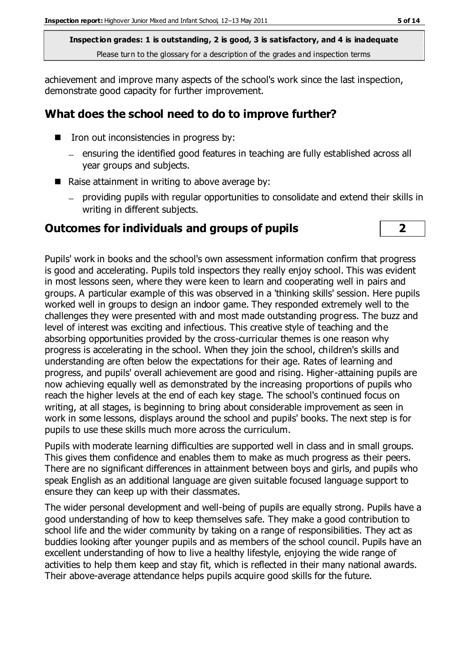**Inspection grades: 1 is outstanding, 2 is good, 3 is satisfactory, and 4 is inadequate** Please turn to the glossary for a description of the grades and inspection terms

achievement and improve many aspects of the school's work since the last inspection, demonstrate good capacity for further improvement.

#### **What does the school need to do to improve further?**

- Iron out inconsistencies in progress by:
	- ensuring the identified good features in teaching are fully established across all year groups and subjects.
- Raise attainment in writing to above average by:
	- providing pupils with regular opportunities to consolidate and extend their skills in writing in different subjects.

#### **Outcomes for individuals and groups of pupils 2**

Pupils' work in books and the school's own assessment information confirm that progress is good and accelerating. Pupils told inspectors they really enjoy school. This was evident in most lessons seen, where they were keen to learn and cooperating well in pairs and groups. A particular example of this was observed in a 'thinking skills' session. Here pupils worked well in groups to design an indoor game. They responded extremely well to the challenges they were presented with and most made outstanding progress. The buzz and level of interest was exciting and infectious. This creative style of teaching and the absorbing opportunities provided by the cross-curricular themes is one reason why progress is accelerating in the school. When they join the school, children's skills and understanding are often below the expectations for their age. Rates of learning and progress, and pupils' overall achievement are good and rising. Higher-attaining pupils are now achieving equally well as demonstrated by the increasing proportions of pupils who reach the higher levels at the end of each key stage. The school's continued focus on writing, at all stages, is beginning to bring about considerable improvement as seen in work in some lessons, displays around the school and pupils' books. The next step is for pupils to use these skills much more across the curriculum.

Pupils with moderate learning difficulties are supported well in class and in small groups. This gives them confidence and enables them to make as much progress as their peers. There are no significant differences in attainment between boys and girls, and pupils who speak English as an additional language are given suitable focused language support to ensure they can keep up with their classmates.

The wider personal development and well-being of pupils are equally strong. Pupils have a good understanding of how to keep themselves safe. They make a good contribution to school life and the wider community by taking on a range of responsibilities. They act as buddies looking after younger pupils and as members of the school council. Pupils have an excellent understanding of how to live a healthy lifestyle, enjoying the wide range of activities to help them keep and stay fit, which is reflected in their many national awards. Their above-average attendance helps pupils acquire good skills for the future.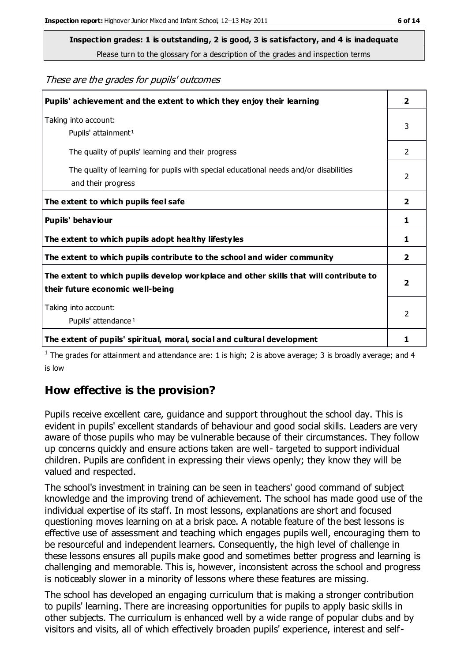Please turn to the glossary for a description of the grades and inspection terms

These are the grades for pupils' outcomes

| Pupils' achievement and the extent to which they enjoy their learning                                                     |                |
|---------------------------------------------------------------------------------------------------------------------------|----------------|
| Taking into account:<br>Pupils' attainment <sup>1</sup>                                                                   |                |
| The quality of pupils' learning and their progress                                                                        | $\mathcal{P}$  |
| The quality of learning for pupils with special educational needs and/or disabilities<br>and their progress               |                |
| The extent to which pupils feel safe                                                                                      | $\overline{2}$ |
| Pupils' behaviour                                                                                                         | 1              |
| The extent to which pupils adopt healthy lifestyles                                                                       |                |
| The extent to which pupils contribute to the school and wider community                                                   |                |
| The extent to which pupils develop workplace and other skills that will contribute to<br>their future economic well-being |                |
| Taking into account:<br>Pupils' attendance <sup>1</sup>                                                                   |                |
| The extent of pupils' spiritual, moral, social and cultural development                                                   |                |

<sup>1</sup> The grades for attainment and attendance are: 1 is high; 2 is above average; 3 is broadly average; and 4 is low

## **How effective is the provision?**

Pupils receive excellent care, guidance and support throughout the school day. This is evident in pupils' excellent standards of behaviour and good social skills. Leaders are very aware of those pupils who may be vulnerable because of their circumstances. They follow up concerns quickly and ensure actions taken are well- targeted to support individual children. Pupils are confident in expressing their views openly; they know they will be valued and respected.

The school's investment in training can be seen in teachers' good command of subject knowledge and the improving trend of achievement. The school has made good use of the individual expertise of its staff. In most lessons, explanations are short and focused questioning moves learning on at a brisk pace. A notable feature of the best lessons is effective use of assessment and teaching which engages pupils well, encouraging them to be resourceful and independent learners. Consequently, the high level of challenge in these lessons ensures all pupils make good and sometimes better progress and learning is challenging and memorable. This is, however, inconsistent across the school and progress is noticeably slower in a minority of lessons where these features are missing.

The school has developed an engaging curriculum that is making a stronger contribution to pupils' learning. There are increasing opportunities for pupils to apply basic skills in other subjects. The curriculum is enhanced well by a wide range of popular clubs and by visitors and visits, all of which effectively broaden pupils' experience, interest and self-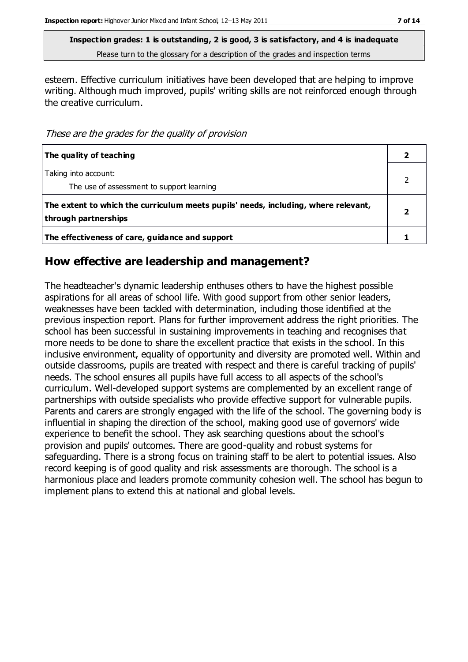Please turn to the glossary for a description of the grades and inspection terms

esteem. Effective curriculum initiatives have been developed that are helping to improve writing. Although much improved, pupils' writing skills are not reinforced enough through the creative curriculum.

These are the grades for the quality of provision

| The quality of teaching                                                                                    |  |
|------------------------------------------------------------------------------------------------------------|--|
| Taking into account:<br>The use of assessment to support learning                                          |  |
| The extent to which the curriculum meets pupils' needs, including, where relevant,<br>through partnerships |  |
| The effectiveness of care, guidance and support                                                            |  |

#### **How effective are leadership and management?**

The headteacher's dynamic leadership enthuses others to have the highest possible aspirations for all areas of school life. With good support from other senior leaders, weaknesses have been tackled with determination, including those identified at the previous inspection report. Plans for further improvement address the right priorities. The school has been successful in sustaining improvements in teaching and recognises that more needs to be done to share the excellent practice that exists in the school. In this inclusive environment, equality of opportunity and diversity are promoted well. Within and outside classrooms, pupils are treated with respect and there is careful tracking of pupils' needs. The school ensures all pupils have full access to all aspects of the school's curriculum. Well-developed support systems are complemented by an excellent range of partnerships with outside specialists who provide effective support for vulnerable pupils. Parents and carers are strongly engaged with the life of the school. The governing body is influential in shaping the direction of the school, making good use of governors' wide experience to benefit the school. They ask searching questions about the school's provision and pupils' outcomes. There are good-quality and robust systems for safeguarding. There is a strong focus on training staff to be alert to potential issues. Also record keeping is of good quality and risk assessments are thorough. The school is a harmonious place and leaders promote community cohesion well. The school has begun to implement plans to extend this at national and global levels.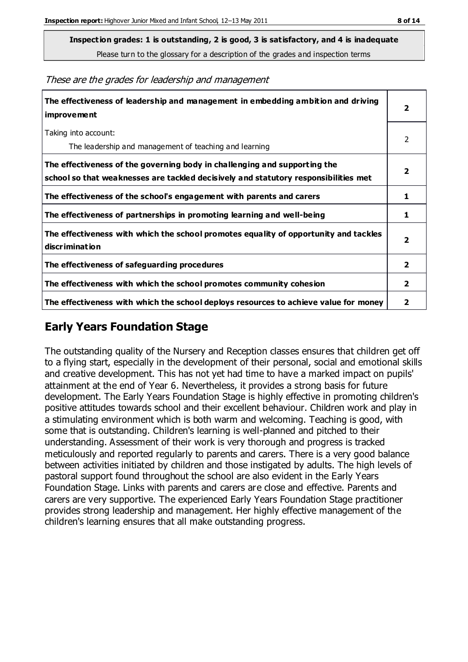Please turn to the glossary for a description of the grades and inspection terms

| The effectiveness of leadership and management in embedding ambition and driving<br><i>improvement</i>                                                           |                         |
|------------------------------------------------------------------------------------------------------------------------------------------------------------------|-------------------------|
| Taking into account:<br>The leadership and management of teaching and learning                                                                                   | 2                       |
| The effectiveness of the governing body in challenging and supporting the<br>school so that weaknesses are tackled decisively and statutory responsibilities met | $\overline{\mathbf{2}}$ |
| The effectiveness of the school's engagement with parents and carers                                                                                             | 1                       |
| The effectiveness of partnerships in promoting learning and well-being                                                                                           | 1                       |
| The effectiveness with which the school promotes equality of opportunity and tackles<br>discrimination                                                           | $\overline{\mathbf{2}}$ |
| The effectiveness of safeguarding procedures                                                                                                                     | $\overline{\mathbf{2}}$ |
| The effectiveness with which the school promotes community cohesion                                                                                              | $\mathbf{2}$            |
| The effectiveness with which the school deploys resources to achieve value for money                                                                             | 2                       |

These are the grades for leadership and management

## **Early Years Foundation Stage**

The outstanding quality of the Nursery and Reception classes ensures that children get off to a flying start, especially in the development of their personal, social and emotional skills and creative development. This has not yet had time to have a marked impact on pupils' attainment at the end of Year 6. Nevertheless, it provides a strong basis for future development. The Early Years Foundation Stage is highly effective in promoting children's positive attitudes towards school and their excellent behaviour. Children work and play in a stimulating environment which is both warm and welcoming. Teaching is good, with some that is outstanding. Children's learning is well-planned and pitched to their understanding. Assessment of their work is very thorough and progress is tracked meticulously and reported regularly to parents and carers. There is a very good balance between activities initiated by children and those instigated by adults. The high levels of pastoral support found throughout the school are also evident in the Early Years Foundation Stage. Links with parents and carers are close and effective. Parents and carers are very supportive. The experienced Early Years Foundation Stage practitioner provides strong leadership and management. Her highly effective management of the children's learning ensures that all make outstanding progress.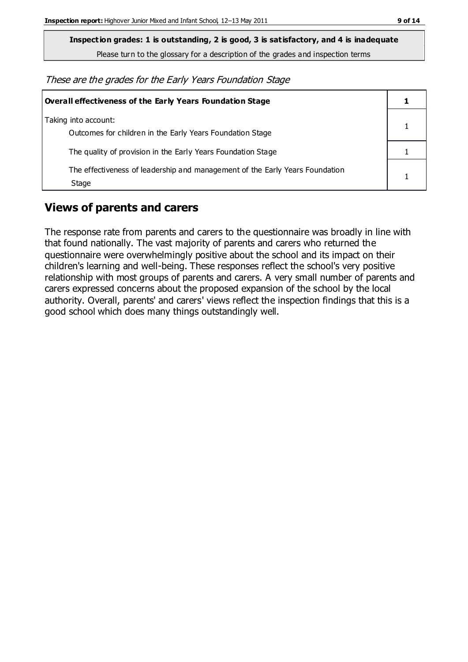Please turn to the glossary for a description of the grades and inspection terms

These are the grades for the Early Years Foundation Stage

| Overall effectiveness of the Early Years Foundation Stage                             |  |  |
|---------------------------------------------------------------------------------------|--|--|
| Taking into account:<br>Outcomes for children in the Early Years Foundation Stage     |  |  |
| The quality of provision in the Early Years Foundation Stage                          |  |  |
| The effectiveness of leadership and management of the Early Years Foundation<br>Stage |  |  |

## **Views of parents and carers**

The response rate from parents and carers to the questionnaire was broadly in line with that found nationally. The vast majority of parents and carers who returned the questionnaire were overwhelmingly positive about the school and its impact on their children's learning and well-being. These responses reflect the school's very positive relationship with most groups of parents and carers. A very small number of parents and carers expressed concerns about the proposed expansion of the school by the local authority. Overall, parents' and carers' views reflect the inspection findings that this is a good school which does many things outstandingly well.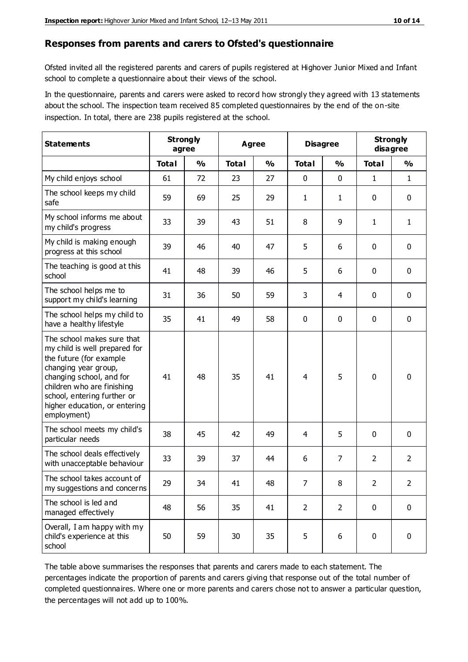#### **Responses from parents and carers to Ofsted's questionnaire**

Ofsted invited all the registered parents and carers of pupils registered at Highover Junior Mixed and Infant school to complete a questionnaire about their views of the school.

In the questionnaire, parents and carers were asked to record how strongly they agreed with 13 statements about the school. The inspection team received 85 completed questionnaires by the end of the on-site inspection. In total, there are 238 pupils registered at the school.

| <b>Statements</b>                                                                                                                                                                                                                                       |              | <b>Strongly</b><br>Agree<br>agree |              |               | <b>Disagree</b> |                | <b>Strongly</b><br>disagree |                |
|---------------------------------------------------------------------------------------------------------------------------------------------------------------------------------------------------------------------------------------------------------|--------------|-----------------------------------|--------------|---------------|-----------------|----------------|-----------------------------|----------------|
|                                                                                                                                                                                                                                                         | <b>Total</b> | $\frac{0}{0}$                     | <b>Total</b> | $\frac{0}{0}$ | <b>Total</b>    | $\frac{0}{0}$  | <b>Total</b>                | $\frac{1}{2}$  |
| My child enjoys school                                                                                                                                                                                                                                  | 61           | 72                                | 23           | 27            | 0               | $\mathbf 0$    | 1                           | $\mathbf{1}$   |
| The school keeps my child<br>safe                                                                                                                                                                                                                       | 59           | 69                                | 25           | 29            | 1               | $\mathbf{1}$   | $\mathbf 0$                 | $\mathbf 0$    |
| My school informs me about<br>my child's progress                                                                                                                                                                                                       | 33           | 39                                | 43           | 51            | 8               | 9              | $\mathbf{1}$                | $\mathbf{1}$   |
| My child is making enough<br>progress at this school                                                                                                                                                                                                    | 39           | 46                                | 40           | 47            | 5               | 6              | 0                           | $\mathbf 0$    |
| The teaching is good at this<br>school                                                                                                                                                                                                                  | 41           | 48                                | 39           | 46            | 5               | 6              | $\mathbf 0$                 | $\mathbf 0$    |
| The school helps me to<br>support my child's learning                                                                                                                                                                                                   | 31           | 36                                | 50           | 59            | 3               | 4              | $\mathbf 0$                 | $\mathbf 0$    |
| The school helps my child to<br>have a healthy lifestyle                                                                                                                                                                                                | 35           | 41                                | 49           | 58            | 0               | $\mathbf 0$    | $\mathbf 0$                 | $\mathbf 0$    |
| The school makes sure that<br>my child is well prepared for<br>the future (for example<br>changing year group,<br>changing school, and for<br>children who are finishing<br>school, entering further or<br>higher education, or entering<br>employment) | 41           | 48                                | 35           | 41            | $\overline{4}$  | 5              | $\mathbf 0$                 | $\mathbf 0$    |
| The school meets my child's<br>particular needs                                                                                                                                                                                                         | 38           | 45                                | 42           | 49            | 4               | 5              | $\mathbf 0$                 | $\mathbf 0$    |
| The school deals effectively<br>with unacceptable behaviour                                                                                                                                                                                             | 33           | 39                                | 37           | 44            | 6               | 7              | $\overline{2}$              | $\overline{2}$ |
| The school takes account of<br>my suggestions and concerns                                                                                                                                                                                              | 29           | 34                                | 41           | 48            | $\overline{7}$  | 8              | $\overline{2}$              | 2              |
| The school is led and<br>managed effectively                                                                                                                                                                                                            | 48           | 56                                | 35           | 41            | $\overline{2}$  | $\overline{2}$ | $\mathbf 0$                 | $\mathbf 0$    |
| Overall, I am happy with my<br>child's experience at this<br>school                                                                                                                                                                                     | 50           | 59                                | 30           | 35            | 5               | 6              | $\mathbf 0$                 | $\mathbf 0$    |

The table above summarises the responses that parents and carers made to each statement. The percentages indicate the proportion of parents and carers giving that response out of the total number of completed questionnaires. Where one or more parents and carers chose not to answer a particular question, the percentages will not add up to 100%.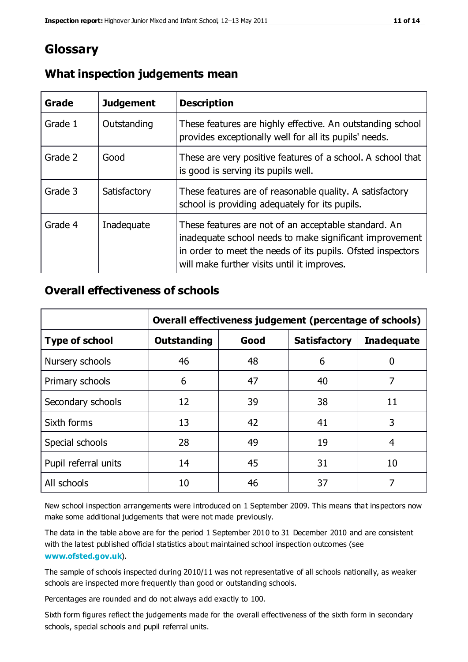## **Glossary**

| Grade   | <b>Judgement</b> | <b>Description</b>                                                                                                                                                                                                            |
|---------|------------------|-------------------------------------------------------------------------------------------------------------------------------------------------------------------------------------------------------------------------------|
| Grade 1 | Outstanding      | These features are highly effective. An outstanding school<br>provides exceptionally well for all its pupils' needs.                                                                                                          |
| Grade 2 | Good             | These are very positive features of a school. A school that<br>is good is serving its pupils well.                                                                                                                            |
| Grade 3 | Satisfactory     | These features are of reasonable quality. A satisfactory<br>school is providing adequately for its pupils.                                                                                                                    |
| Grade 4 | Inadequate       | These features are not of an acceptable standard. An<br>inadequate school needs to make significant improvement<br>in order to meet the needs of its pupils. Ofsted inspectors<br>will make further visits until it improves. |

#### **What inspection judgements mean**

#### **Overall effectiveness of schools**

|                       | Overall effectiveness judgement (percentage of schools) |      |                     |                   |
|-----------------------|---------------------------------------------------------|------|---------------------|-------------------|
| <b>Type of school</b> | <b>Outstanding</b>                                      | Good | <b>Satisfactory</b> | <b>Inadequate</b> |
| Nursery schools       | 46                                                      | 48   | 6                   |                   |
| Primary schools       | 6                                                       | 47   | 40                  | 7                 |
| Secondary schools     | 12                                                      | 39   | 38                  | 11                |
| Sixth forms           | 13                                                      | 42   | 41                  | 3                 |
| Special schools       | 28                                                      | 49   | 19                  | 4                 |
| Pupil referral units  | 14                                                      | 45   | 31                  | 10                |
| All schools           | 10                                                      | 46   | 37                  |                   |

New school inspection arrangements were introduced on 1 September 2009. This means that inspectors now make some additional judgements that were not made previously.

The data in the table above are for the period 1 September 2010 to 31 December 2010 and are consistent with the latest published official statistics about maintained school inspection outcomes (see **[www.ofsted.gov.uk](http://www.ofsted.gov.uk/)**).

The sample of schools inspected during 2010/11 was not representative of all schools nationally, as weaker schools are inspected more frequently than good or outstanding schools.

Percentages are rounded and do not always add exactly to 100.

Sixth form figures reflect the judgements made for the overall effectiveness of the sixth form in secondary schools, special schools and pupil referral units.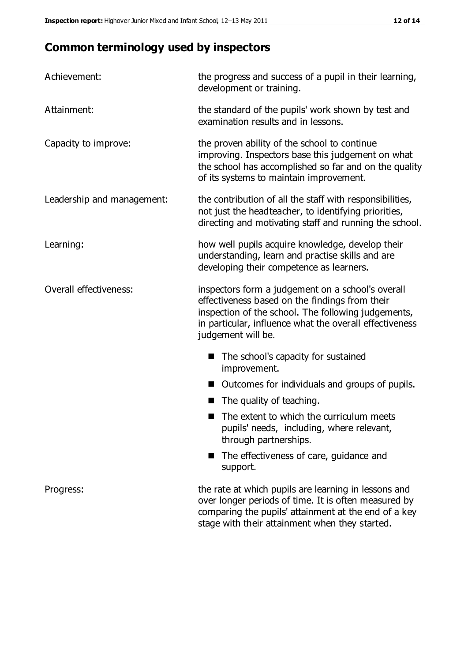# **Common terminology used by inspectors**

| Achievement:               | the progress and success of a pupil in their learning,<br>development or training.                                                                                                                                                          |  |  |
|----------------------------|---------------------------------------------------------------------------------------------------------------------------------------------------------------------------------------------------------------------------------------------|--|--|
| Attainment:                | the standard of the pupils' work shown by test and<br>examination results and in lessons.                                                                                                                                                   |  |  |
| Capacity to improve:       | the proven ability of the school to continue<br>improving. Inspectors base this judgement on what<br>the school has accomplished so far and on the quality<br>of its systems to maintain improvement.                                       |  |  |
| Leadership and management: | the contribution of all the staff with responsibilities,<br>not just the headteacher, to identifying priorities,<br>directing and motivating staff and running the school.                                                                  |  |  |
| Learning:                  | how well pupils acquire knowledge, develop their<br>understanding, learn and practise skills and are<br>developing their competence as learners.                                                                                            |  |  |
| Overall effectiveness:     | inspectors form a judgement on a school's overall<br>effectiveness based on the findings from their<br>inspection of the school. The following judgements,<br>in particular, influence what the overall effectiveness<br>judgement will be. |  |  |
|                            | The school's capacity for sustained<br>improvement.                                                                                                                                                                                         |  |  |
|                            | Outcomes for individuals and groups of pupils.                                                                                                                                                                                              |  |  |
|                            | The quality of teaching.                                                                                                                                                                                                                    |  |  |
|                            | The extent to which the curriculum meets<br>pupils' needs, including, where relevant,<br>through partnerships.                                                                                                                              |  |  |
|                            | The effectiveness of care, guidance and<br>support.                                                                                                                                                                                         |  |  |
| Progress:                  | the rate at which pupils are learning in lessons and<br>over longer periods of time. It is often measured by<br>comparing the pupils' attainment at the end of a key                                                                        |  |  |

stage with their attainment when they started.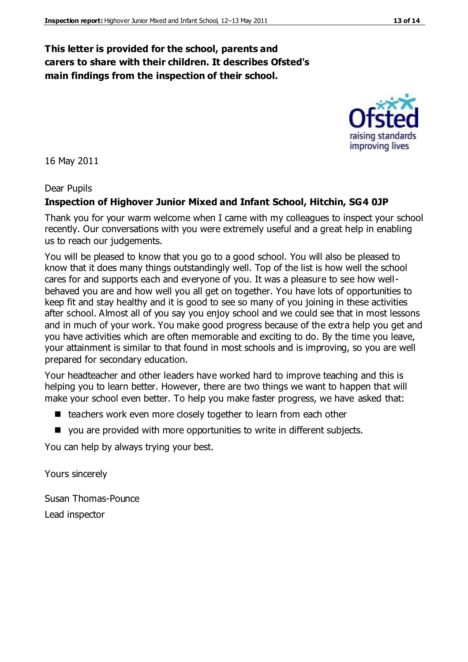#### **This letter is provided for the school, parents and carers to share with their children. It describes Ofsted's main findings from the inspection of their school.**

16 May 2011

#### Dear Pupils

#### **Inspection of Highover Junior Mixed and Infant School, Hitchin, SG4 0JP**

Thank you for your warm welcome when I came with my colleagues to inspect your school recently. Our conversations with you were extremely useful and a great help in enabling us to reach our judgements.

You will be pleased to know that you go to a good school. You will also be pleased to know that it does many things outstandingly well. Top of the list is how well the school cares for and supports each and everyone of you. It was a pleasure to see how wellbehaved you are and how well you all get on together. You have lots of opportunities to keep fit and stay healthy and it is good to see so many of you joining in these activities after school. Almost all of you say you enjoy school and we could see that in most lessons and in much of your work. You make good progress because of the extra help you get and you have activities which are often memorable and exciting to do. By the time you leave, your attainment is similar to that found in most schools and is improving, so you are well prepared for secondary education.

Your headteacher and other leaders have worked hard to improve teaching and this is helping you to learn better. However, there are two things we want to happen that will make your school even better. To help you make faster progress, we have asked that:

- teachers work even more closely together to learn from each other
- you are provided with more opportunities to write in different subjects.

You can help by always trying your best.

Yours sincerely

Susan Thomas-Pounce Lead inspector